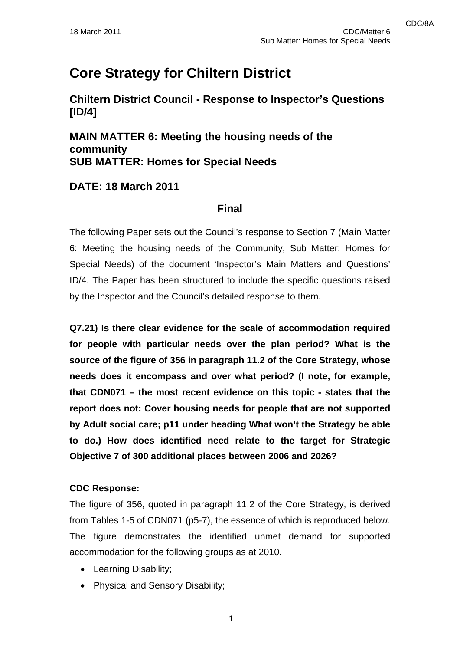# **Core Strategy for Chiltern District**

**Chiltern District Council - Response to Inspector's Questions [ID/4]** 

**MAIN MATTER 6: Meeting the housing needs of the community SUB MATTER: Homes for Special Needs** 

### **DATE: 18 March 2011**

### **Final**

The following Paper sets out the Council's response to Section 7 (Main Matter 6: Meeting the housing needs of the Community, Sub Matter: Homes for Special Needs) of the document 'Inspector's Main Matters and Questions' ID/4. The Paper has been structured to include the specific questions raised by the Inspector and the Council's detailed response to them.

**Q7.21) Is there clear evidence for the scale of accommodation required for people with particular needs over the plan period? What is the source of the figure of 356 in paragraph 11.2 of the Core Strategy, whose needs does it encompass and over what period? (I note, for example, that CDN071 – the most recent evidence on this topic - states that the report does not: Cover housing needs for people that are not supported by Adult social care; p11 under heading What won't the Strategy be able to do.) How does identified need relate to the target for Strategic Objective 7 of 300 additional places between 2006 and 2026?** 

### **CDC Response:**

The figure of 356, quoted in paragraph 11.2 of the Core Strategy, is derived from Tables 1-5 of CDN071 (p5-7), the essence of which is reproduced below. The figure demonstrates the identified unmet demand for supported accommodation for the following groups as at 2010.

- Learning Disability;
- Physical and Sensory Disability;

1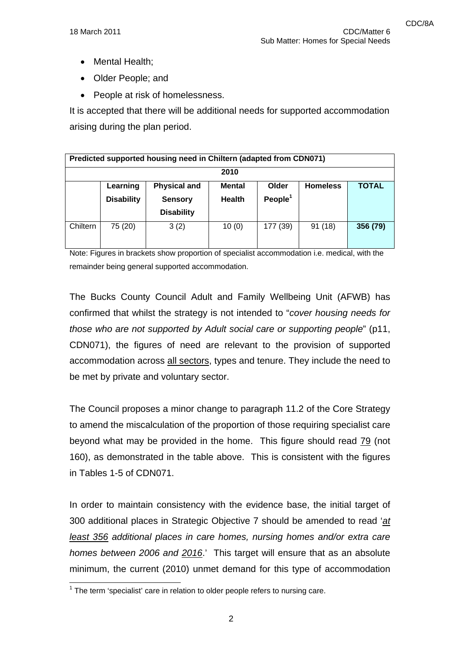- Mental Health;
- Older People; and
- People at risk of homelessness.

It is accepted that there will be additional needs for supported accommodation arising during the plan period.

| Predicted supported housing need in Chiltern (adapted from CDN071) |                               |                                                            |                                |                     |                 |              |
|--------------------------------------------------------------------|-------------------------------|------------------------------------------------------------|--------------------------------|---------------------|-----------------|--------------|
| 2010                                                               |                               |                                                            |                                |                     |                 |              |
|                                                                    | Learning<br><b>Disability</b> | <b>Physical and</b><br><b>Sensory</b><br><b>Disability</b> | <b>Mental</b><br><b>Health</b> | Older<br>People $1$ | <b>Homeless</b> | <b>TOTAL</b> |
| Chiltern                                                           | 75 (20)                       | 3(2)                                                       | 10(0)                          | 177 (39)            | 91(18)          | 356 (79)     |

Note: Figures in brackets show proportion of specialist accommodation i.e. medical, with the remainder being general supported accommodation.

The Bucks County Council Adult and Family Wellbeing Unit (AFWB) has confirmed that whilst the strategy is not intended to "*cover housing needs for those who are not supported by Adult social care or supporting people*" (p11, CDN071), the figures of need are relevant to the provision of supported accommodation across all sectors, types and tenure. They include the need to be met by private and voluntary sector.

The Council proposes a minor change to paragraph 11.2 of the Core Strategy to amend the miscalculation of the proportion of those requiring specialist care beyond what may be provided in the home. This figure should read 79 (not 160), as demonstrated in the table above. This is consistent with the figures in Tables 1-5 of CDN071.

In order to maintain consistency with the evidence base, the initial target of 300 additional places in Strategic Objective 7 should be amended to read '*at least 356 additional places in care homes, nursing homes and/or extra care homes between 2006 and 2016*.' This target will ensure that as an absolute minimum, the current (2010) unmet demand for this type of accommodation

<sup>————————————————————&</sup>lt;br><sup>1</sup> The term 'specialist' care in relation to older people refers to nursing care.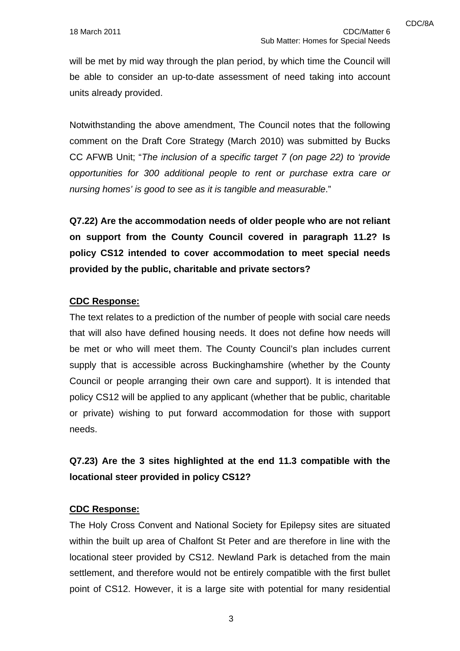will be met by mid way through the plan period, by which time the Council will be able to consider an up-to-date assessment of need taking into account units already provided.

Notwithstanding the above amendment, The Council notes that the following comment on the Draft Core Strategy (March 2010) was submitted by Bucks CC AFWB Unit; "*The inclusion of a specific target 7 (on page 22) to 'provide opportunities for 300 additional people to rent or purchase extra care or nursing homes' is good to see as it is tangible and measurable*."

**Q7.22) Are the accommodation needs of older people who are not reliant on support from the County Council covered in paragraph 11.2? Is policy CS12 intended to cover accommodation to meet special needs provided by the public, charitable and private sectors?** 

### **CDC Response:**

The text relates to a prediction of the number of people with social care needs that will also have defined housing needs. It does not define how needs will be met or who will meet them. The County Council's plan includes current supply that is accessible across Buckinghamshire (whether by the County Council or people arranging their own care and support). It is intended that policy CS12 will be applied to any applicant (whether that be public, charitable or private) wishing to put forward accommodation for those with support needs.

# **Q7.23) Are the 3 sites highlighted at the end 11.3 compatible with the locational steer provided in policy CS12?**

#### **CDC Response:**

The Holy Cross Convent and National Society for Epilepsy sites are situated within the built up area of Chalfont St Peter and are therefore in line with the locational steer provided by CS12. Newland Park is detached from the main settlement, and therefore would not be entirely compatible with the first bullet point of CS12. However, it is a large site with potential for many residential

3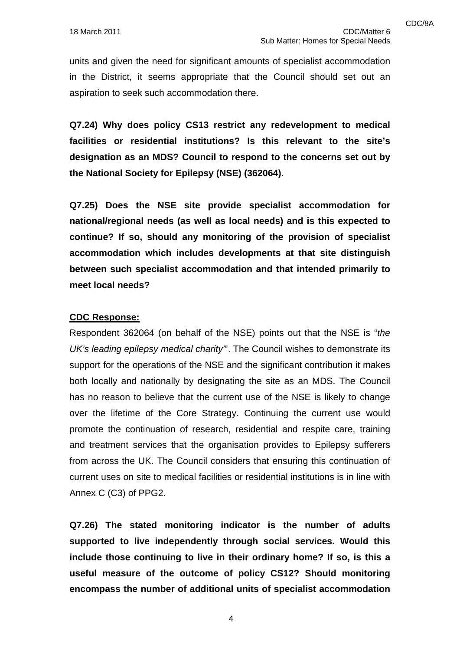units and given the need for significant amounts of specialist accommodation in the District, it seems appropriate that the Council should set out an aspiration to seek such accommodation there.

**Q7.24) Why does policy CS13 restrict any redevelopment to medical facilities or residential institutions? Is this relevant to the site's designation as an MDS? Council to respond to the concerns set out by the National Society for Epilepsy (NSE) (362064).** 

**Q7.25) Does the NSE site provide specialist accommodation for national/regional needs (as well as local needs) and is this expected to continue? If so, should any monitoring of the provision of specialist accommodation which includes developments at that site distinguish between such specialist accommodation and that intended primarily to meet local needs?** 

#### **CDC Response:**

Respondent 362064 (on behalf of the NSE) points out that the NSE is "*the UK's leading epilepsy medical charity"*'. The Council wishes to demonstrate its support for the operations of the NSE and the significant contribution it makes both locally and nationally by designating the site as an MDS. The Council has no reason to believe that the current use of the NSE is likely to change over the lifetime of the Core Strategy. Continuing the current use would promote the continuation of research, residential and respite care, training and treatment services that the organisation provides to Epilepsy sufferers from across the UK. The Council considers that ensuring this continuation of current uses on site to medical facilities or residential institutions is in line with Annex C (C3) of PPG2.

**Q7.26) The stated monitoring indicator is the number of adults supported to live independently through social services. Would this include those continuing to live in their ordinary home? If so, is this a useful measure of the outcome of policy CS12? Should monitoring encompass the number of additional units of specialist accommodation** 

4